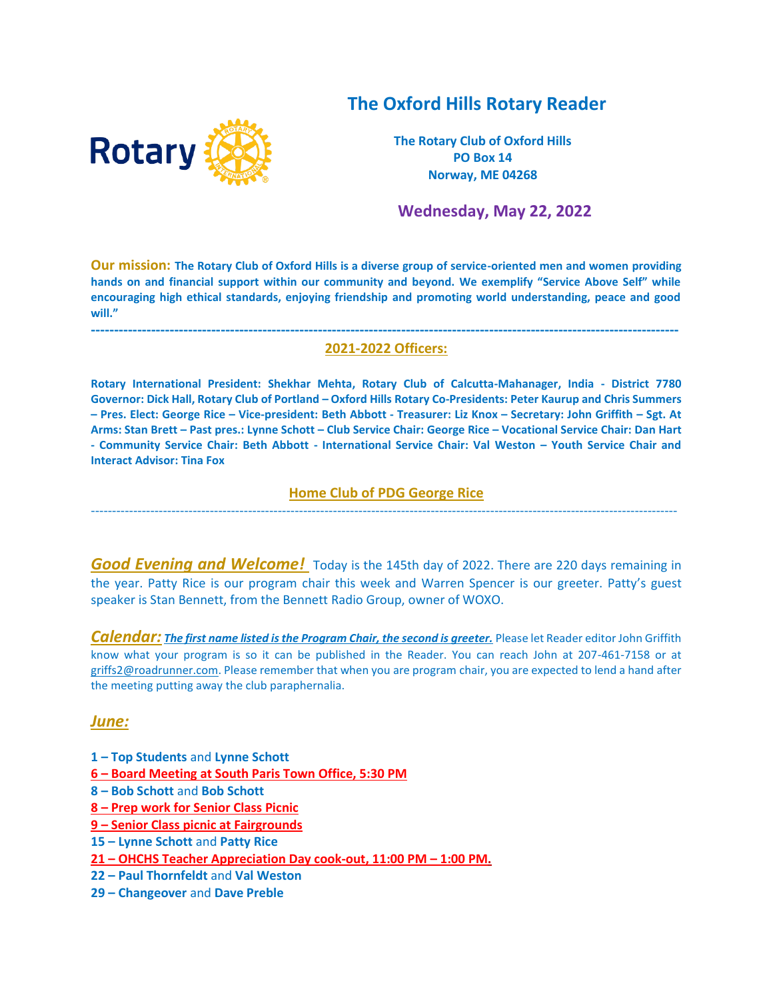# **The Oxford Hills Rotary Reader**



**The Rotary Club of Oxford Hills PO Box 14 Norway, ME 04268**

 **Wednesday, May 22, 2022**

**Our mission: The Rotary Club of Oxford Hills is a diverse group of service-oriented men and women providing hands on and financial support within our community and beyond. We exemplify "Service Above Self" while encouraging high ethical standards, enjoying friendship and promoting world understanding, peace and good will."**

#### **------------------------------------------------------------------------------------------------------------------------------- 2021-2022 Officers:**

**Rotary International President: Shekhar Mehta, Rotary Club of Calcutta-Mahanager, India - District 7780 Governor: Dick Hall, Rotary Club of Portland – Oxford Hills Rotary Co-Presidents: Peter Kaurup and Chris Summers – Pres. Elect: George Rice – Vice-president: Beth Abbott - Treasurer: Liz Knox – Secretary: John Griffith – Sgt. At Arms: Stan Brett – Past pres.: Lynne Schott – Club Service Chair: George Rice – Vocational Service Chair: Dan Hart - Community Service Chair: Beth Abbott - International Service Chair: Val Weston – Youth Service Chair and Interact Advisor: Tina Fox**

#### **Home Club of PDG George Rice**  ------------------------------------------------------------------------------------------------------------------------------------------

**Good Evening and Welcome!** Today is the 145th day of 2022. There are 220 days remaining in the year. Patty Rice is our program chair this week and Warren Spencer is our greeter. Patty's guest speaker is Stan Bennett, from the Bennett Radio Group, owner of WOXO.

*Calendar: The first name listed is the Program Chair, the second is greeter.* Please let Reader editor John Griffith know what your program is so it can be published in the Reader. You can reach John at 207-461-7158 or at [griffs2@roadrunner.com.](mailto:griffs2@roadrunner.com) Please remember that when you are program chair, you are expected to lend a hand after the meeting putting away the club paraphernalia.

#### *June:*

- **1 – Top Students** and **Lynne Schott**
- **6 – Board Meeting at South Paris Town Office, 5:30 PM**
- **8 – Bob Schott** and **Bob Schott**
- **8 – Prep work for Senior Class Picnic**
- **9 – Senior Class picnic at Fairgrounds**
- **15 – Lynne Schott** and **Patty Rice**
- **21 – OHCHS Teacher Appreciation Day cook-out, 11:00 PM – 1:00 PM.**
- **22 – Paul Thornfeldt** and **Val Weston**
- **29 – Changeover** and **Dave Preble**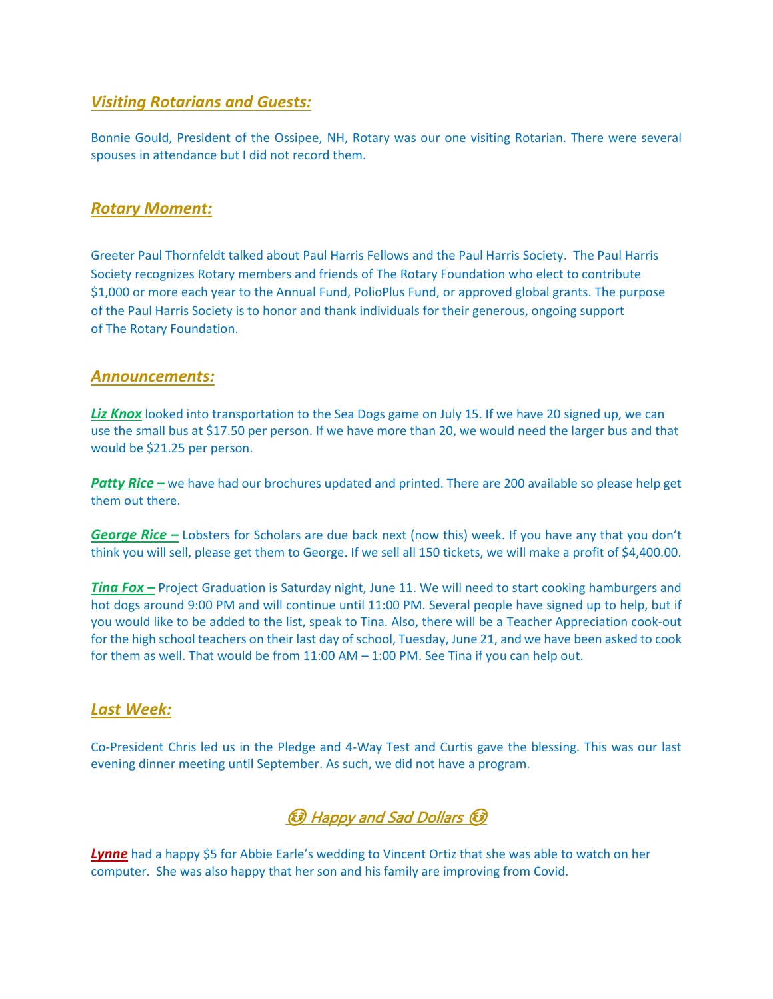## *Visiting Rotarians and Guests:*

Bonnie Gould, President of the Ossipee, NH, Rotary was our one visiting Rotarian. There were several spouses in attendance but I did not record them.

## *Rotary Moment:*

Greeter Paul Thornfeldt talked about Paul Harris Fellows and the Paul Harris Society. The Paul Harris Society recognizes Rotary members and friends of The Rotary Foundation who elect to contribute \$1,000 or more each year to the Annual Fund, PolioPlus Fund, or approved global grants. The purpose of the Paul Harris Society is to honor and thank individuals for their generous, ongoing support of The Rotary Foundation.

## *Announcements:*

**Liz Knox** looked into transportation to the Sea Dogs game on July 15. If we have 20 signed up, we can use the small bus at \$17.50 per person. If we have more than 20, we would need the larger bus and that would be \$21.25 per person.

*Patty Rice –* we have had our brochures updated and printed. There are 200 available so please help get them out there.

*George Rice –* Lobsters for Scholars are due back next (now this) week. If you have any that you don't think you will sell, please get them to George. If we sell all 150 tickets, we will make a profit of \$4,400.00.

*Tina Fox –* Project Graduation is Saturday night, June 11. We will need to start cooking hamburgers and hot dogs around 9:00 PM and will continue until 11:00 PM. Several people have signed up to help, but if you would like to be added to the list, speak to Tina. Also, there will be a Teacher Appreciation cook-out for the high school teachers on their last day of school, Tuesday, June 21, and we have been asked to cook for them as well. That would be from 11:00 AM – 1:00 PM. See Tina if you can help out.

## *Last Week:*

Co-President Chris led us in the Pledge and 4-Way Test and Curtis gave the blessing. This was our last evening dinner meeting until September. As such, we did not have a program.



**Lynne** had a happy \$5 for Abbie Earle's wedding to Vincent Ortiz that she was able to watch on her computer. She was also happy that her son and his family are improving from Covid.